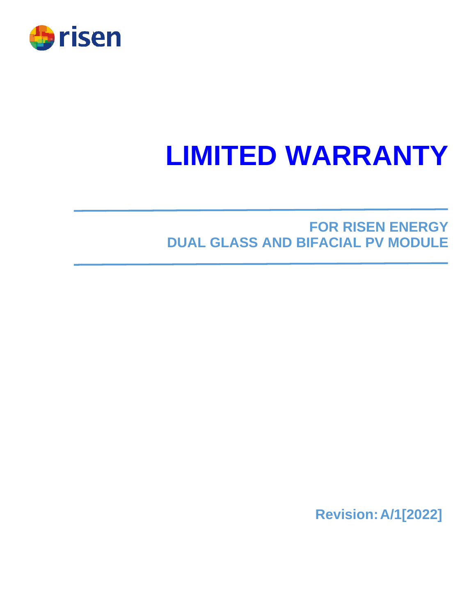

# **LIMITED WARRANTY**

# **FOR RISEN ENERGY DUAL GLASS AND BIFACIAL PV MODULE**

**Revision:A/1[2022]**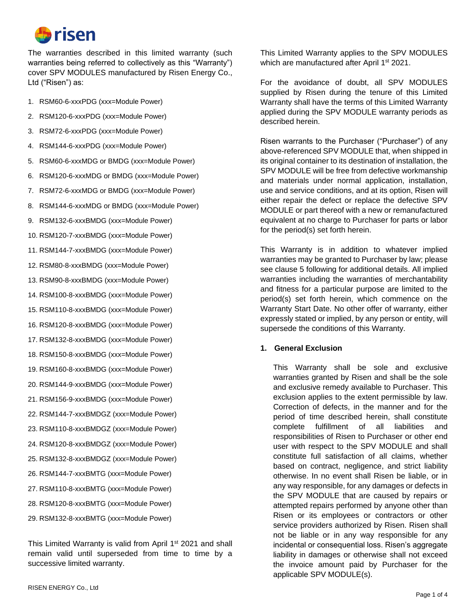

The warranties described in this limited warranty (such warranties being referred to collectively as this "Warranty") cover SPV MODULES manufactured by Risen Energy Co., Ltd ("Risen") as:

- 1. RSM60-6-xxxPDG (xxx=Module Power)
- 2. RSM120-6-xxxPDG (xxx=Module Power)
- 3. RSM72-6-xxxPDG (xxx=Module Power)
- 4. RSM144-6-xxxPDG (xxx=Module Power)
- 5. RSM60-6-xxxMDG or BMDG (xxx=Module Power)
- 6. RSM120-6-xxxMDG or BMDG (xxx=Module Power)
- 7. RSM72-6-xxxMDG or BMDG (xxx=Module Power)
- 8. RSM144-6-xxxMDG or BMDG (xxx=Module Power)
- 9. RSM132-6-xxxBMDG (xxx=Module Power)
- 10. RSM120-7-xxxBMDG (xxx=Module Power)
- 11. RSM144-7-xxxBMDG (xxx=Module Power)
- 12. RSM80-8-xxxBMDG (xxx=Module Power)
- 13. RSM90-8-xxxBMDG (xxx=Module Power)
- 14. RSM100-8-xxxBMDG (xxx=Module Power)
- 15. RSM110-8-xxxBMDG (xxx=Module Power)
- 16. RSM120-8-xxxBMDG (xxx=Module Power)
- 17. RSM132-8-xxxBMDG (xxx=Module Power)
- 18. RSM150-8-xxxBMDG (xxx=Module Power)
- 19. RSM160-8-xxxBMDG (xxx=Module Power)
- 20. RSM144-9-xxxBMDG (xxx=Module Power)
- 21. RSM156-9-xxxBMDG (xxx=Module Power)
- 22. RSM144-7-xxxBMDGZ (xxx=Module Power)
- 23. RSM110-8-xxxBMDGZ (xxx=Module Power)
- 24. RSM120-8-xxxBMDGZ (xxx=Module Power)
- 25. RSM132-8-xxxBMDGZ (xxx=Module Power)
- 26. RSM144-7-xxxBMTG (xxx=Module Power)
- 27. RSM110-8-xxxBMTG (xxx=Module Power)
- 28. RSM120-8-xxxBMTG (xxx=Module Power)
- 29. RSM132-8-xxxBMTG (xxx=Module Power)

This Limited Warranty is valid from April 1<sup>st</sup> 2021 and shall remain valid until superseded from time to time by a successive limited warranty.

This Limited Warranty applies to the SPV MODULES which are manufactured after April 1<sup>st</sup> 2021.

For the avoidance of doubt, all SPV MODULES supplied by Risen during the tenure of this Limited Warranty shall have the terms of this Limited Warranty applied during the SPV MODULE warranty periods as described herein.

Risen warrants to the Purchaser ("Purchaser") of any above-referenced SPV MODULE that, when shipped in its original container to its destination of installation, the SPV MODULE will be free from defective workmanship and materials under normal application, installation, use and service conditions, and at its option, Risen will either repair the defect or replace the defective SPV MODULE or part thereof with a new or remanufactured equivalent at no charge to Purchaser for parts or labor for the period(s) set forth herein.

This Warranty is in addition to whatever implied warranties may be granted to Purchaser by law; please see clause 5 following for additional details. All implied warranties including the warranties of merchantability and fitness for a particular purpose are limited to the period(s) set forth herein, which commence on the Warranty Start Date. No other offer of warranty, either expressly stated or implied, by any person or entity, will supersede the conditions of this Warranty.

#### **1. General Exclusion**

This Warranty shall be sole and exclusive warranties granted by Risen and shall be the sole and exclusive remedy available to Purchaser. This exclusion applies to the extent permissible by law. Correction of defects, in the manner and for the period of time described herein, shall constitute complete fulfillment of all liabilities and responsibilities of Risen to Purchaser or other end user with respect to the SPV MODULE and shall constitute full satisfaction of all claims, whether based on contract, negligence, and strict liability otherwise. In no event shall Risen be liable, or in any way responsible, for any damages or defects in the SPV MODULE that are caused by repairs or attempted repairs performed by anyone other than Risen or its employees or contractors or other service providers authorized by Risen. Risen shall not be liable or in any way responsible for any incidental or consequential loss. Risen's aggregate liability in damages or otherwise shall not exceed the invoice amount paid by Purchaser for the applicable SPV MODULE(s).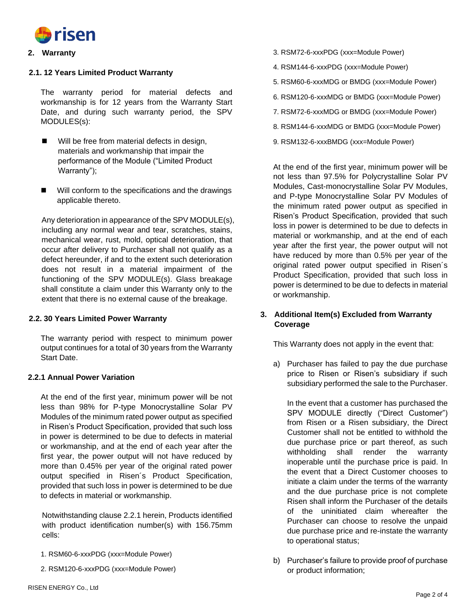

#### **2. Warranty**

#### **2.1. 12 Years Limited Product Warranty**

The warranty period for material defects and workmanship is for 12 years from the Warranty Start Date, and during such warranty period, the SPV MODULES(s):

- Will be free from material defects in design, materials and workmanship that impair the performance of the Module ("Limited Product Warranty");
- Will conform to the specifications and the drawings applicable thereto.

Any deterioration in appearance of the SPV MODULE(s), including any normal wear and tear, scratches, stains, mechanical wear, rust, mold, optical deterioration, that occur after delivery to Purchaser shall not qualify as a defect hereunder, if and to the extent such deterioration does not result in a material impairment of the functioning of the SPV MODULE(s). Glass breakage shall constitute a claim under this Warranty only to the extent that there is no external cause of the breakage.

#### **2.2. 30 Years Limited Power Warranty**

The warranty period with respect to minimum power output continues for a total of 30 years from the Warranty Start Date.

#### **2.2.1 Annual Power Variation**

At the end of the first year, minimum power will be not less than 98% for P-type Monocrystalline Solar PV Modules of the minimum rated power output as specified in Risen's Product Specification, provided that such loss in power is determined to be due to defects in material or workmanship, and at the end of each year after the first year, the power output will not have reduced by more than 0.45% per year of the original rated power output specified in Risen´s Product Specification, provided that such loss in power is determined to be due to defects in material or workmanship.

Notwithstanding clause 2.2.1 herein, Products identified with product identification number(s) with 156.75mm cells:

- 1. RSM60-6-xxxPDG (xxx=Module Power)
- 2. RSM120-6-xxxPDG (xxx=Module Power)
- 3. RSM72-6-xxxPDG (xxx=Module Power)
- 4. RSM144-6-xxxPDG (xxx=Module Power)
- 5. RSM60-6-xxxMDG or BMDG (xxx=Module Power)
- 6. RSM120-6-xxxMDG or BMDG (xxx=Module Power)
- 7. RSM72-6-xxxMDG or BMDG (xxx=Module Power)
- 8. RSM144-6-xxxMDG or BMDG (xxx=Module Power)
- 9. RSM132-6-xxxBMDG (xxx=Module Power)

At the end of the first year, minimum power will be not less than 97.5% for Polycrystalline Solar PV Modules, Cast-monocrystalline Solar PV Modules, and P-type Monocrystalline Solar PV Modules of the minimum rated power output as specified in Risen's Product Specification, provided that such loss in power is determined to be due to defects in material or workmanship, and at the end of each year after the first year, the power output will not have reduced by more than 0.5% per year of the original rated power output specified in Risen´s Product Specification, provided that such loss in power is determined to be due to defects in material or workmanship.

# **3. Additional Item(s) Excluded from Warranty Coverage**

This Warranty does not apply in the event that:

a) Purchaser has failed to pay the due purchase price to Risen or Risen's subsidiary if such subsidiary performed the sale to the Purchaser.

In the event that a customer has purchased the SPV MODULE directly ("Direct Customer") from Risen or a Risen subsidiary, the Direct Customer shall not be entitled to withhold the due purchase price or part thereof, as such withholding shall render the warranty inoperable until the purchase price is paid. In the event that a Direct Customer chooses to initiate a claim under the terms of the warranty and the due purchase price is not complete Risen shall inform the Purchaser of the details of the uninitiated claim whereafter the Purchaser can choose to resolve the unpaid due purchase price and re-instate the warranty to operational status;

b) Purchaser's failure to provide proof of purchase or product information;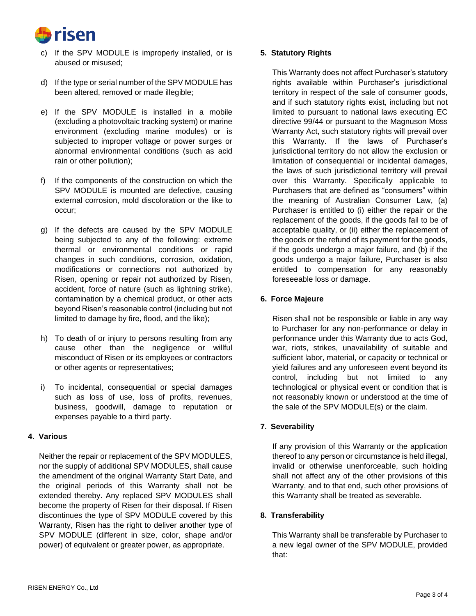

- c) If the SPV MODULE is improperly installed, or is abused or misused;
- d) If the type or serial number of the SPV MODULE has been altered, removed or made illegible;
- e) If the SPV MODULE is installed in a mobile (excluding a photovoltaic tracking system) or marine environment (excluding marine modules) or is subjected to improper voltage or power surges or abnormal environmental conditions (such as acid rain or other pollution);
- f) If the components of the construction on which the SPV MODULE is mounted are defective, causing external corrosion, mold discoloration or the like to occur;
- g) If the defects are caused by the SPV MODULE being subjected to any of the following: extreme thermal or environmental conditions or rapid changes in such conditions, corrosion, oxidation, modifications or connections not authorized by Risen, opening or repair not authorized by Risen, accident, force of nature (such as lightning strike), contamination by a chemical product, or other acts beyond Risen's reasonable control (including but not limited to damage by fire, flood, and the like);
- h) To death of or injury to persons resulting from any cause other than the negligence or willful misconduct of Risen or its employees or contractors or other agents or representatives;
- i) To incidental, consequential or special damages such as loss of use, loss of profits, revenues, business, goodwill, damage to reputation or expenses payable to a third party.

# **4. Various**

Neither the repair or replacement of the SPV MODULES, nor the supply of additional SPV MODULES, shall cause the amendment of the original Warranty Start Date, and the original periods of this Warranty shall not be extended thereby. Any replaced SPV MODULES shall become the property of Risen for their disposal. If Risen discontinues the type of SPV MODULE covered by this Warranty, Risen has the right to deliver another type of SPV MODULE (different in size, color, shape and/or power) of equivalent or greater power, as appropriate.

# **5. Statutory Rights**

This Warranty does not affect Purchaser's statutory rights available within Purchaser's jurisdictional territory in respect of the sale of consumer goods, and if such statutory rights exist, including but not limited to pursuant to national laws executing EC directive 99/44 or pursuant to the Magnuson Moss Warranty Act, such statutory rights will prevail over this Warranty. If the laws of Purchaser's jurisdictional territory do not allow the exclusion or limitation of consequential or incidental damages, the laws of such jurisdictional territory will prevail over this Warranty. Specifically applicable to Purchasers that are defined as "consumers" within the meaning of Australian Consumer Law, (a) Purchaser is entitled to (i) either the repair or the replacement of the goods, if the goods fail to be of acceptable quality, or (ii) either the replacement of the goods or the refund of its payment for the goods, if the goods undergo a major failure, and (b) if the goods undergo a major failure, Purchaser is also entitled to compensation for any reasonably foreseeable loss or damage.

# **6. Force Majeure**

Risen shall not be responsible or liable in any way to Purchaser for any non-performance or delay in performance under this Warranty due to acts God, war, riots, strikes, unavailability of suitable and sufficient labor, material, or capacity or technical or yield failures and any unforeseen event beyond its control, including but not limited to any technological or physical event or condition that is not reasonably known or understood at the time of the sale of the SPV MODULE(s) or the claim.

# **7. Severability**

If any provision of this Warranty or the application thereof to any person or circumstance is held illegal, invalid or otherwise unenforceable, such holding shall not affect any of the other provisions of this Warranty, and to that end, such other provisions of this Warranty shall be treated as severable.

# **8. Transferability**

This Warranty shall be transferable by Purchaser to a new legal owner of the SPV MODULE, provided that: